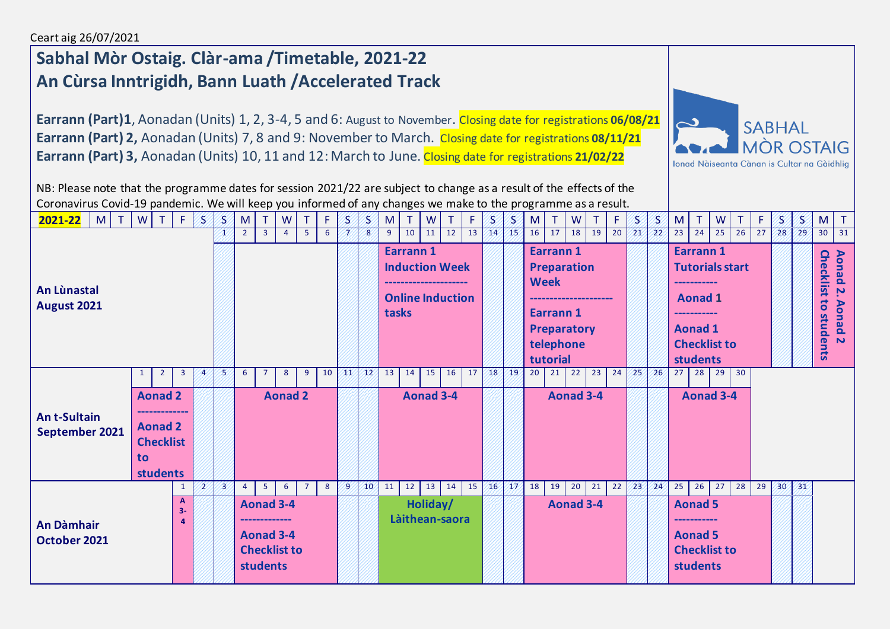## **Sabhal Mòr Ostaig. Clàr-ama /Timetable, 2021-22 An Cùrsa Inntrigidh, Bann Luath /Accelerated Track**

**Earrann (Part)1**, Aonadan (Units) 1, 2, 3-4, 5 and 6: August to November. Closing date for registrations **06/08/21 Earrann (Part) 2,** Aonadan (Units) 7, 8 and 9: November to March. Closing date for registrations **08/11/21 Earrann (Part) 3,** Aonadan (Units) 10, 11 and 12: March to June. Closing date for registrations **21/02/22**



NB: Please note that the programme dates for session 2021/22 are subject to change as a result of the effects of the Coronavirus Covid-19 pandemic. We will keep you informed of any changes we make to the programme as a result.

| $2021 - 22$ M<br>T                   |           | $W$ T F                                                                 |                         | 8.             | B) | M              | $\top$                                                                             | W              | T              | F     | S                                                                   | S            | M  | T                    | W                |    | F. | S                                                             | S                                                     | M  | $\top$ | W                                   |    | F               | S                                                                | S                                             | M  | T.                                                        | W                         |    | F                               | $\mathbf S$                                       | S  | M               |    |
|--------------------------------------|-----------|-------------------------------------------------------------------------|-------------------------|----------------|----|----------------|------------------------------------------------------------------------------------|----------------|----------------|-------|---------------------------------------------------------------------|--------------|----|----------------------|------------------|----|----|---------------------------------------------------------------|-------------------------------------------------------|----|--------|-------------------------------------|----|-----------------|------------------------------------------------------------------|-----------------------------------------------|----|-----------------------------------------------------------|---------------------------|----|---------------------------------|---------------------------------------------------|----|-----------------|----|
|                                      |           |                                                                         |                         |                | Æ  | $\overline{2}$ | 3 <sup>7</sup>                                                                     | $\overline{4}$ | 5 <sub>1</sub> | 6     |                                                                     | 8            | 9  | 10                   | 11               | 12 | 13 | /14                                                           | 45                                                    | 16 | 17     | 18 <sup>1</sup>                     | 19 | $\overline{20}$ | 21'                                                              | $\sqrt{22}$                                   | 23 | $\overline{24}$                                           | 25                        | 26 | 27                              | 28                                                | 29 | 30 <sup>°</sup> | 31 |
| An Lùnastal<br>August 2021           |           |                                                                         |                         |                |    |                |                                                                                    |                |                | tasks | <b>Earrann1</b><br><b>Induction Week</b><br><b>Online Induction</b> |              |    |                      |                  |    |    | <b>Earrann1</b><br><b>Week</b><br><b>Earrann1</b><br>tutorial | <b>Preparation</b><br><b>Preparatory</b><br>telephone |    |        |                                     |    |                 | Earrann 1<br><b>Aonad 1</b><br><b>Aonad 1</b><br><b>students</b> | <b>Tutorials start</b><br><b>Checklist to</b> |    |                                                           |                           |    | <b>Checklist</b><br>to students | Aonad<br>$\mathbf{v}$<br><b>Aonad<sub>2</sub></b> |    |                 |    |
|                                      | 1         | $2^{\circ}$                                                             | $\overline{\mathbf{3}}$ | $\overline{4}$ | 5  | 6              | $\overline{7}$                                                                     | 8              | 9              | 10    | 41                                                                  | $42^{\circ}$ | 13 | 14                   | 15               | 16 | 17 | 18                                                            | 19                                                    | 20 | 21     | 22                                  | 23 | 24              | 25                                                               | 26                                            | 27 | 28                                                        | 29                        | 30 |                                 |                                                   |    |                 |    |
| <b>Ant-Sultain</b><br>September 2021 | <b>to</b> | <b>Aonad 2</b><br><b>Aonad 2</b><br><b>Checklist</b><br><b>students</b> |                         |                |    |                |                                                                                    | <b>Aonad 2</b> |                |       |                                                                     |              |    |                      | <b>Aonad 3-4</b> |    |    |                                                               |                                                       |    |        | Aonad 3-4                           |    |                 |                                                                  |                                               |    |                                                           | Aonad 3-4                 |    |                                 |                                                   |    |                 |    |
| <b>An Dàmhair</b><br>October 2021    |           |                                                                         |                         | $\overline{2}$ | 3  | 4              | 5 <sub>1</sub><br>Aonad 3-4<br>Aonad 3-4<br><b>Checklist to</b><br><b>students</b> | 6              | $\overline{7}$ | 8     | 9                                                                   | 10           | 11 | 12<br>Làithean-saora | 13<br>Holiday/   | 14 | 15 | 46                                                            | 47                                                    | 18 | 19     | 20 <sub>2</sub><br><b>Aonad 3-4</b> | 21 | 22              | 23                                                               | 24                                            | 25 | 26<br><b>Aonad 5</b><br><b>Aonad 5</b><br><b>students</b> | 27<br><b>Checklist to</b> | 28 | 29                              | 30                                                | 31 |                 |    |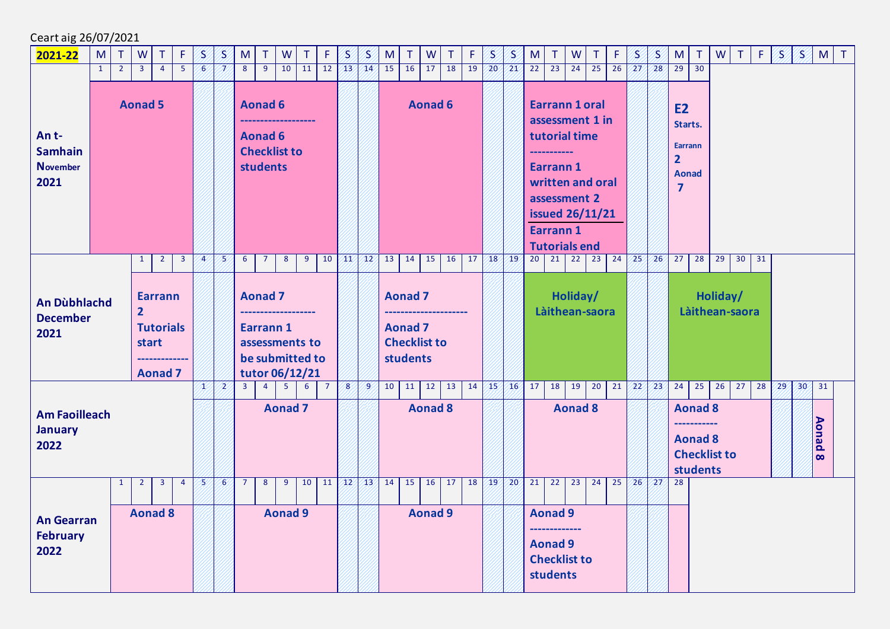Ceart aig 26/07/2021

| 2021-22                                                                                                                           | M                                                                        | $\top$         | W              | T              | Æ              | S              | $\mathcal{S}$ | M              | T                                                                          | W              | T                                                   | F              | S                | S               | M              | T                                                                   | W<br>Τ                | F  | S                                                                   | S               | M<br>T.                                                                                                                                                                   | ${\sf W}$       | T.                                   | F  | S               | S               | ${\sf M}$                                                                                  | $\top$                                                      | ${\sf W}$                  | T. | $F$ $\vert$ | B. | 8  | M                        | $\top$ |
|-----------------------------------------------------------------------------------------------------------------------------------|--------------------------------------------------------------------------|----------------|----------------|----------------|----------------|----------------|---------------|----------------|----------------------------------------------------------------------------|----------------|-----------------------------------------------------|----------------|------------------|-----------------|----------------|---------------------------------------------------------------------|-----------------------|----|---------------------------------------------------------------------|-----------------|---------------------------------------------------------------------------------------------------------------------------------------------------------------------------|-----------------|--------------------------------------|----|-----------------|-----------------|--------------------------------------------------------------------------------------------|-------------------------------------------------------------|----------------------------|----|-------------|----|----|--------------------------|--------|
|                                                                                                                                   | $\mathbf{1}$                                                             | $\overline{2}$ | 3 <sup>7</sup> | $\overline{4}$ | -5             | 6              | 7.            | 8              | $\overline{9}$                                                             | 10             | 11                                                  | 12             | /13/             | 44              | 15             | 16                                                                  | 18<br>17              | 19 | 20 <sup>2</sup>                                                     | 21              | $\overline{23}$<br>22                                                                                                                                                     | $\overline{24}$ | $\overline{25}$                      | 26 | 27              | 28 <sup>′</sup> | 29                                                                                         | $\overline{30}$                                             |                            |    |             |    |    |                          |        |
| An t-<br><b>Samhain</b><br><b>November</b><br>2021                                                                                | <b>Aonad 5</b><br>$2^{\circ}$<br>$\overline{\mathbf{3}}$<br>$\mathbf{1}$ |                |                |                |                |                |               |                | <b>Aonad 6</b><br><b>Aonad 6</b><br><b>Checklist to</b><br><b>students</b> |                |                                                     |                |                  |                 |                |                                                                     | <b>Aonad 6</b>        |    |                                                                     |                 | <b>Earrann 1 oral</b><br>assessment 1 in<br>tutorial time<br>Earrann 1<br>written and oral<br>assessment 2<br><b>issued 26/11/21</b><br>Earrann 1<br><b>Tutorials end</b> |                 |                                      |    |                 |                 | <b>E2</b><br>Starts.<br><b>Earrann</b><br>$\overline{2}$<br><b>Aonad</b><br>$\overline{7}$ |                                                             |                            |    |             |    |    |                          |        |
|                                                                                                                                   |                                                                          |                |                |                |                | $\overline{A}$ | 5             | 6 <sup>1</sup> | $\overline{7}$                                                             | 8              | 9                                                   | 10             | 414              | 42%             |                | $13 \mid 14 \mid 15 \mid$                                           | 16                    |    | $17 \overline{\smash{\big)}\ 18}$                                   | $\sqrt{19}$     | 20                                                                                                                                                                        |                 | $21 \mid 22 \mid 23 \mid 24 \mid 25$ |    |                 | 26 <sup>7</sup> | 27                                                                                         |                                                             | $28$ 29                    | 30 | 31          |    |    |                          |        |
| <b>Earrann</b><br><b>An Dùbhlachd</b><br>$\overline{2}$<br><b>December</b><br><b>Tutorials</b><br>2021<br>start<br><b>Aonad 7</b> |                                                                          |                |                |                |                |                |               |                | <b>Aonad 7</b><br>Earrann 1                                                |                | assessments to<br>be submitted to<br>tutor 06/12/21 |                |                  |                 |                | <b>Aonad 7</b><br><b>Aonad 7</b><br><b>Checklist to</b><br>students |                       |    |                                                                     |                 | Làithean-saora                                                                                                                                                            | Holiday/        |                                      |    |                 |                 |                                                                                            |                                                             | Holiday/<br>Làithean-saora |    |             |    |    |                          |        |
|                                                                                                                                   |                                                                          |                |                |                |                | x              | $\mathbf{Z}$  | $\overline{3}$ | $\overline{4}$                                                             | $\overline{5}$ | 6 <sup>1</sup>                                      | $\overline{7}$ | $\boldsymbol{8}$ | 9               |                | $10 \mid 11 \mid$                                                   | $\overline{12}$<br>13 |    |                                                                     | 14 15 16        | 17<br>18                                                                                                                                                                  | 19              | $\overline{20}$                      | 21 | $22/23$         |                 | 24                                                                                         |                                                             | $25 \mid 26$               | 27 | 28          | 29 | 30 | 31                       |        |
| <b>January</b><br>2022                                                                                                            | <b>Am Faoilleach</b>                                                     |                |                |                |                |                |               |                |                                                                            | <b>Aonad 7</b> |                                                     |                |                  |                 |                |                                                                     | <b>Aonad 8</b>        |    |                                                                     |                 |                                                                                                                                                                           | <b>Aonad 8</b>  |                                      |    |                 |                 |                                                                                            | <b>Aonad 8</b><br>-----------<br><b>Aonad 8</b><br>students | <b>Checklist to</b>        |    |             |    |    | <b>Aonad</b><br>$\infty$ |        |
|                                                                                                                                   |                                                                          | $\mathbf{1}$   | $\overline{2}$ | $\overline{3}$ | $\overline{4}$ | 5              | 6             | $\overline{7}$ | 8                                                                          | 9              | 10                                                  | 11             | $\sqrt{12}$      | 43 <sup>7</sup> | 14             | 15                                                                  | 16<br>17              | 18 | /19/                                                                | 20 <sup>7</sup> | $\overline{21}$<br>22                                                                                                                                                     | $\overline{23}$ | 24                                   | 25 | 26 <sup>°</sup> | 27              | 28                                                                                         |                                                             |                            |    |             |    |    |                          |        |
| <b>February</b><br>2022                                                                                                           | <b>Aonad 8</b><br><b>An Gearran</b>                                      |                |                |                |                |                |               | <b>Aonad 9</b> |                                                                            |                |                                                     |                |                  |                 | <b>Aonad 9</b> |                                                                     |                       |    | <b>Aonad 9</b><br><b>Aonad 9</b><br><b>Checklist to</b><br>students |                 |                                                                                                                                                                           |                 |                                      |    |                 |                 |                                                                                            |                                                             |                            |    |             |    |    |                          |        |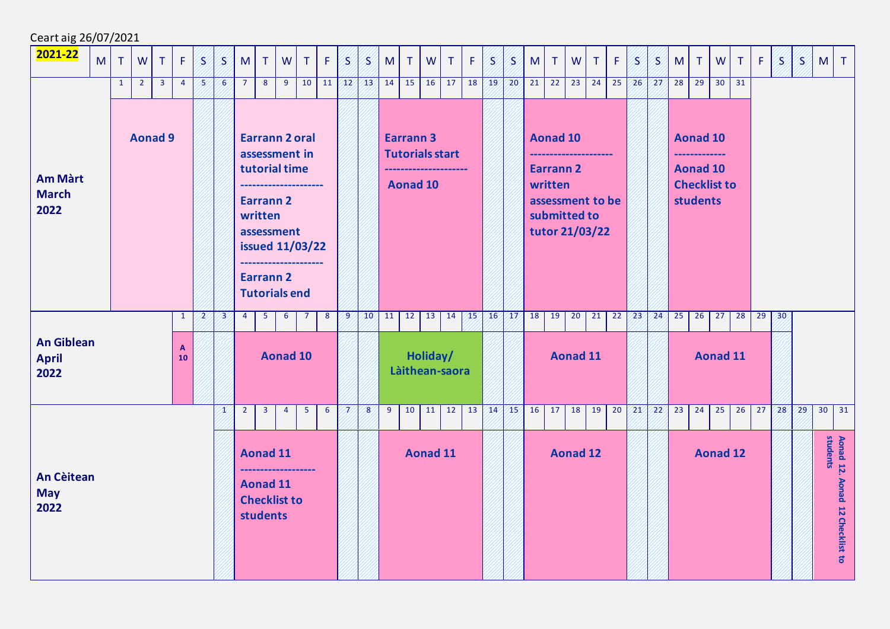| Ceart aig 26/07/2021                      |   |              |                |                                  |                    |   |            |                |                                                       |                                                                                                                                                                   |                |                |    |            |                |                                                            |                 |                                        |    |                 |                 |         |                                                                                                            |                 |        |    |                 |             |                 |                       |                                                           |              |         |                 |                 |              |                                             |
|-------------------------------------------|---|--------------|----------------|----------------------------------|--------------------|---|------------|----------------|-------------------------------------------------------|-------------------------------------------------------------------------------------------------------------------------------------------------------------------|----------------|----------------|----|------------|----------------|------------------------------------------------------------|-----------------|----------------------------------------|----|-----------------|-----------------|---------|------------------------------------------------------------------------------------------------------------|-----------------|--------|----|-----------------|-------------|-----------------|-----------------------|-----------------------------------------------------------|--------------|---------|-----------------|-----------------|--------------|---------------------------------------------|
| 2021-22                                   | M | $\top$       | W              | T                                | F                  | 8 | 8          | M              | T                                                     | W                                                                                                                                                                 | $\mathsf{T}$   | F              | 8. | S          | M              | $\top$                                                     | W               | $\top$                                 | F  | 8               | 8.              | M       | $\top$                                                                                                     | W               | $\top$ | F  | 8.              | B.          | M               | $\mathsf{T}$          | W                                                         | $\top$       | F       | /S              | 8/l             | M T          |                                             |
| <b>Am Màrt</b><br><b>March</b><br>2022    |   | $\mathbf{1}$ | $\overline{2}$ | 3 <sup>7</sup><br><b>Aonad 9</b> | $\overline{4}$     | 8 | $\epsilon$ | $\overline{7}$ | 8<br><b>Earrann 2</b><br>written                      | 9<br><b>Earrann 2 oral</b><br>assessment in<br>tutorial time<br>assessment<br><b>issued 11/03/22</b><br>--------------------<br>Earrann 2<br><b>Tutorials end</b> | 10             | 11             |    |            |                | $12$ $13$ $14$ $15$<br><b>Earrann 3</b><br><b>Aonad 10</b> |                 | $16 \mid 17$<br><b>Tutorials start</b> | 18 | 19 <sup>7</sup> | 20 <sub>2</sub> | 21      | 22<br><b>Aonad 10</b><br><b>Earrann 2</b><br>written<br>assessment to be<br>submitted to<br>tutor 21/03/22 | 23              | 24     | 25 | 26 <sup>′</sup> | 27          | 28              | 29<br><b>students</b> | <b>Aonad 10</b><br><b>Aonad 10</b><br><b>Checklist to</b> | $30 \mid 31$ |         |                 |                 |              |                                             |
|                                           |   |              |                |                                  | $\mathbf{1}$       | 2 | 23         | $\overline{4}$ | 5 <sub>5</sub>                                        | 6                                                                                                                                                                 | 7              | 8 <sup>2</sup> | 9  |            |                | $10$ 11 12                                                 |                 | $13 \mid 14 \mid$                      | 45 |                 | 16/17/          | 18      | 19                                                                                                         | 20              | 21     | 22 | 23 <sup>7</sup> | 24/         | $\overline{25}$ | 26                    | 27                                                        |              | $28$ 29 | 30 <sup>2</sup> |                 |              |                                             |
| <b>An Giblean</b><br><b>April</b><br>2022 |   |              |                |                                  | $\mathbf{A}$<br>10 |   |            |                |                                                       | <b>Aonad 10</b>                                                                                                                                                   |                |                |    |            |                |                                                            | Holiday/        | Làithean-saora                         |    |                 |                 |         |                                                                                                            | <b>Aonad 11</b> |        |    |                 |             |                 |                       | <b>Aonad 11</b>                                           |              |         |                 |                 |              |                                             |
|                                           |   |              |                |                                  |                    |   | Æ          | $\overline{2}$ | $\overline{3}$                                        | $\overline{4}$                                                                                                                                                    | 5 <sub>1</sub> | 6              | K  | $\sqrt{8}$ | $\overline{9}$ | 10                                                         | 11              | 12                                     | 13 | $\sqrt{14}$     |                 | $15$ 16 | 17                                                                                                         | 18              | 19     | 20 | 21/             | $\sqrt{22}$ | 23              | 24                    | 25                                                        | 26           | 27      | 28 <sup>′</sup> | 29 <sub>2</sub> | $30 \mid 31$ |                                             |
| <b>An Cèitean</b><br><b>May</b><br>2022   |   |              |                |                                  |                    |   |            |                | <b>Aonad 11</b><br><b>Aonad 11</b><br><b>students</b> | ---------------<br><b>Checklist to</b>                                                                                                                            |                |                |    |            |                |                                                            | <b>Aonad 11</b> |                                        |    |                 |                 |         |                                                                                                            | <b>Aonad 12</b> |        |    |                 |             |                 |                       | <b>Aonad 12</b>                                           |              |         |                 |                 |              | Aonad 12. Aonad 12 Checklist to<br>students |